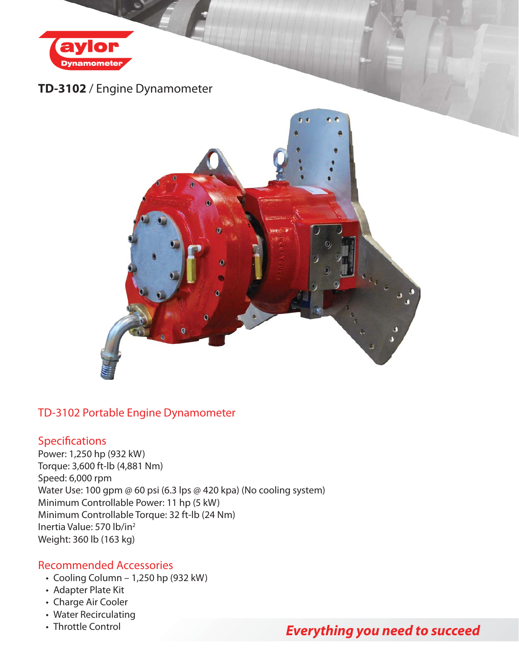

## **TD-3102** / Engine Dynamometer



### TD-3102 Portable Engine Dynamometer

#### **Specifications**

Power: 1,250 hp (932 kW) Torque: 3,600 ft-lb (4,881 Nm) Speed: 6,000 rpm Water Use: 100 gpm @ 60 psi (6.3 lps @ 420 kpa) (No cooling system) Minimum Controllable Power: 11 hp (5 kW) Minimum Controllable Torque: 32 ft-lb (24 Nm) Inertia Value: 570 lb/in2 Weight: 360 lb (163 kg)

#### Recommended Accessories

- Cooling Column 1,250 hp (932 kW)
- Adapter Plate Kit
- Charge Air Cooler
- Water Recirculating
- Throttle Control

# *Everything you need to succeed*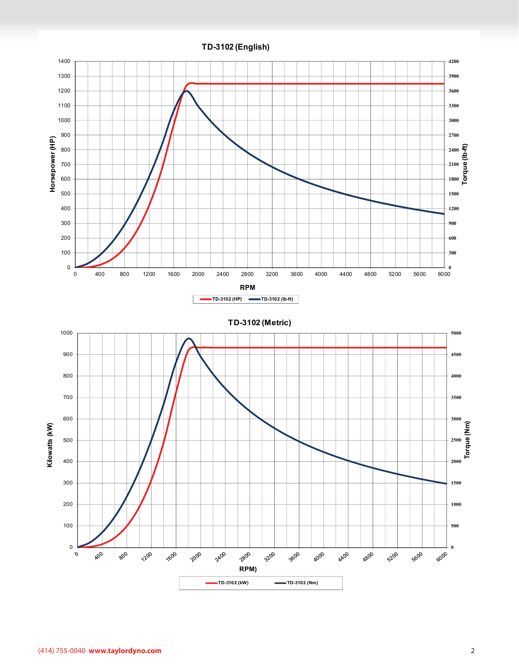